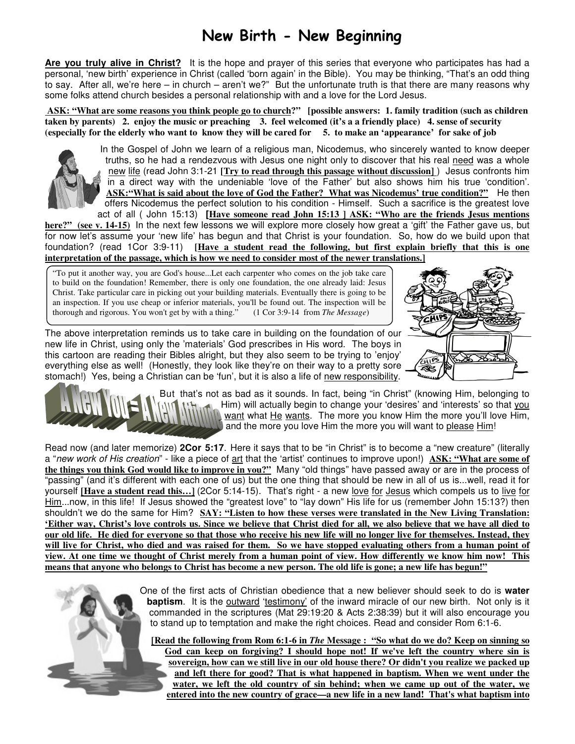## New Birth - New Beginning

**Are you truly alive in Christ?** It is the hope and prayer of this series that everyone who participates has had a personal, 'new birth' experience in Christ (called 'born again' in the Bible). You may be thinking, "That's an odd thing to say. After all, we're here – in church – aren't we?" But the unfortunate truth is that there are many reasons why some folks attend church besides a personal relationship with and a love for the Lord Jesus.

 **ASK: "What are some reasons you think people go to church?" [possible answers: 1. family tradition (such as children taken by parents) 2. enjoy the music or preaching 3. feel welcomed (it's a a friendly place) 4. sense of security (especially for the elderly who want to know they will be cared for 5. to make an 'appearance' for sake of job** 



In the Gospel of John we learn of a religious man, Nicodemus, who sincerely wanted to know deeper truths, so he had a rendezvous with Jesus one night only to discover that his real need was a whole new life (read John 3:1-21 **[Try to read through this passage without discussion]** ) Jesus confronts him in a direct way with the undeniable 'love of the Father' but also shows him his true 'condition'. **ASK:"What is said about the love of God the Father? What was Nicodemus' true condition?"** He then offers Nicodemus the perfect solution to his condition - Himself. Such a sacrifice is the greatest love act of all ( John 15:13) **[Have someone read John 15:13 ] ASK: "Who are the friends Jesus mentions** 

**here?" (see v. 14-15)** In the next few lessons we will explore more closely how great a 'gift' the Father gave us, but for now let's assume your 'new life' has begun and that Christ is your foundation. So, how do we build upon that foundation? (read 1Cor 3:9-11) **[Have a student read the following, but first explain briefly that this is one interpretation of the passage, which is how we need to consider most of the newer translations.]**

"To put it another way, you are God's house...Let each carpenter who comes on the job take care to build on the foundation! Remember, there is only one foundation, the one already laid: Jesus Christ. Take particular care in picking out your building materials. Eventually there is going to be an inspection. If you use cheap or inferior materials, you'll be found out. The inspection will be thorough and rigorous. You won't get by with a thing." (1 Cor 3:9-14 from *The Message*)

The above interpretation reminds us to take care in building on the foundation of our new life in Christ, using only the 'materials' God prescribes in His word. The boys in this cartoon are reading their Bibles alright, but they also seem to be trying to 'enjoy' everything else as well! (Honestly, they look like they're on their way to a pretty sore stomach!) Yes, being a Christian can be 'fun', but it is also a life of new responsibility.





But that's not as bad as it sounds. In fact, being "in Christ" (knowing Him, belonging to Him) will actually begin to change your 'desires' and 'interests' so that you Want what He wants. The more you know Him the more you'll love Him, and the more you love Him the more you will want to please Him!

Read now (and later memorize) **2Cor 5:17**. Here it says that to be "in Christ" is to become a "new creature" (literally a "new work of His creation" - like a piece of art that the 'artist' continues to improve upon!) **ASK: "What are some of the things you think God would like to improve in you?"** Many "old things" have passed away or are in the process of "passing" (and it's different with each one of us) but the one thing that should be new in all of us is...well, read it for yourself **[Have a student read this…]** (2Cor 5:14-15). That's right - a new love for Jesus which compels us to live for Him...now, in this life! If Jesus showed the "greatest love" to "lay down" His life for us (remember John 15:13?) then shouldn't we do the same for Him? **SAY: "Listen to how these verses were translated in the New Living Translation: 'Either way, Christ's love controls us. Since we believe that Christ died for all, we also believe that we have all died to our old life. He died for everyone so that those who receive his new life will no longer live for themselves. Instead, they will live for Christ, who died and was raised for them. So we have stopped evaluating others from a human point of view. At one time we thought of Christ merely from a human point of view. How differently we know him now! This means that anyone who belongs to Christ has become a new person. The old life is gone; a new life has begun!"**

> One of the first acts of Christian obedience that a new believer should seek to do is **water baptism**. It is the outward 'testimony' of the inward miracle of our new birth. Not only is it commanded in the scriptures (Mat 29:19:20 & Acts 2:38:39) but it will also encourage you to stand up to temptation and make the right choices. Read and consider Rom 6:1-6.

**[Read the following from Rom 6:1-6 in** *The* **Message : "So what do we do? Keep on sinning so God can keep on forgiving? I should hope not! If we've left the country where sin is sovereign, how can we still live in our old house there? Or didn't you realize we packed up and left there for good? That is what happened in baptism. When we went under the water, we left the old country of sin behind; when we came up out of the water, we entered into the new country of grace—a new life in a new land! That's what baptism into**